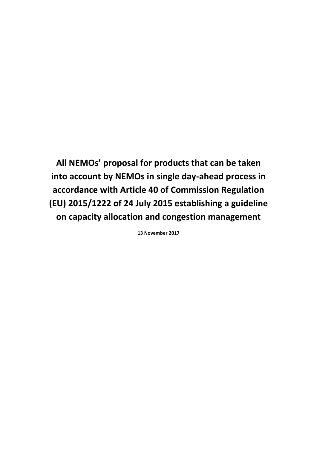**All NEMOs' proposal for products that can be taken into account by NEMOs in single day-ahead process in accordance with Article 40 of Commission Regulation (EU) 2015/1222 of 24 July 2015 establishing a guideline on capacity allocation and congestion management**

**13 November 2017**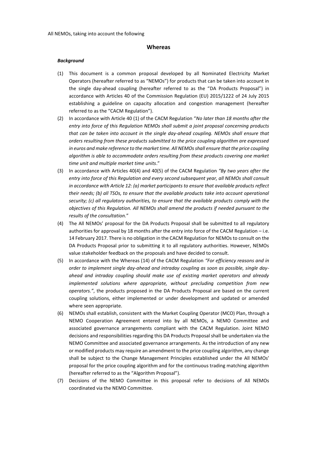#### **Whereas**

#### *Background*

- (1) This document is a common proposal developed by all Nominated Electricity Market Operators (hereafter referred to as "NEMOs") for products that can be taken into account in the single day-ahead coupling (hereafter referred to as the "DA Products Proposal") in accordance with Articles 40 of the Commission Regulation (EU) 2015/1222 of 24 July 2015 establishing a guideline on capacity allocation and congestion management (hereafter referred to as the "CACM Regulation").
- (2) In accordance with Article 40 (1) of the CACM Regulation "*No later than 18 months after the entry into force of this Regulation NEMOs shall submit a joint proposal concerning products that can be taken into account in the single day-ahead coupling. NEMOs shall ensure that orders resulting from these products submitted to the price coupling algorithm are expressed in euros and make reference to the market time. All NEMOs shall ensure that the price coupling algorithm is able to accommodate orders resulting from these products covering one market time unit and multiple market time units*."
- (3) In accordance with Articles 40(4) and 40(5) of the CACM Regulation *"By two years after the entry into force of this Regulation and every second subsequent year, all NEMOs shall consult in accordance with Article 12: (a) market participants to ensure that available products reflect their needs; (b) all TSOs, to ensure that the available products take into account operational security; (c) all regulatory authorities, to ensure that the available products comply with the objectives of this Regulation. All NEMOs shall amend the products if needed pursuant to the results of the consultation.*"
- (4) The All NEMOs' proposal for the DA Products Proposal shall be submitted to all regulatory authorities for approval by 18 months after the entry into force of the CACM Regulation – i.e. 14 February 2017. There is no obligation in the CACM Regulation for NEMOs to consult on the DA Products Proposal prior to submitting it to all regulatory authorities. However, NEMOs value stakeholder feedback on the proposals and have decided to consult.
- (5) In accordance with the Whereas (14) of the CACM Regulation *"For efficiency reasons and in order to implement single day-ahead and intraday coupling as soon as possible, single dayahead and intraday coupling should make use of existing market operators and already implemented solutions where appropriate, without precluding competition from new operators."*, the products proposed in the DA Products Proposal are based on the current coupling solutions, either implemented or under development and updated or amended where seen appropriate.
- (6) NEMOs shall establish, consistent with the Market Coupling Operator (MCO) Plan, through a NEMO Cooperation Agreement entered into by all NEMOs, a NEMO Committee and associated governance arrangements compliant with the CACM Regulation. Joint NEMO decisions and responsibilities regarding this DA Products Proposal shall be undertaken via the NEMO Committee and associated governance arrangements. As the introduction of any new or modified products may require an amendment to the price coupling algorithm, any change shall be subject to the Change Management Principles established under the All NEMOs' proposal for the price coupling algorithm and for the continuous trading matching algorithm (hereafter referred to as the "Algorithm Proposal").
- (7) Decisions of the NEMO Committee in this proposal refer to decisions of All NEMOs coordinated via the NEMO Committee.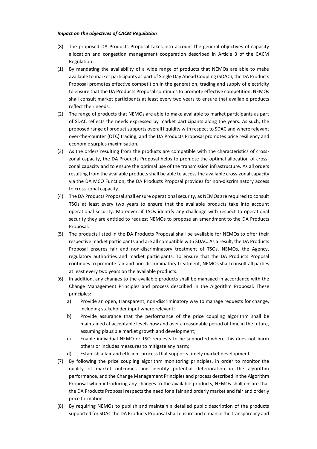#### *Impact on the objectives of CACM Regulation*

- (8) The proposed DA Products Proposal takes into account the general objectives of capacity allocation and congestion management cooperation described in Article 3 of the CACM Regulation.
- (1) By mandating the availability of a wide range of products that NEMOs are able to make available to market participants as part of Single Day Ahead Coupling (SDAC), the DA Products Proposal promotes effective competition in the generation, trading and supply of electricity to ensure that the DA Products Proposal continues to promote effective competition, NEMOs shall consult market participants at least every two years to ensure that available products reflect their needs.
- (2) The range of products that NEMOs are able to make available to market participants as part of SDAC reflects the needs expressed by market participants along the years. As such, the proposed range of product supports overall liquidity with respect to SDAC and where relevant over-the-counter (OTC) trading, and the DA Products Proposal promotes price resiliency and economic surplus maximisation.
- (3) As the orders resulting from the products are compatible with the characteristics of crosszonal capacity, the DA Products Proposal helps to promote the optimal allocation of crosszonal capacity and to ensure the optimal use of the transmission infrastructure. As all orders resulting from the available products shall be able to access the available cross-zonal capacity via the DA MCO Function, the DA Products Proposal provides for non-discriminatory access to cross-zonal capacity.
- (4) The DA Products Proposal shall ensure operational security, as NEMOs are required to consult TSOs at least every two years to ensure that the available products take into account operational security. Moreover, if TSOs identify any challenge with respect to operational security they are entitled to request NEMOs to propose an amendment to the DA Products Proposal.
- (5) The products listed in the DA Products Proposal shall be available for NEMOs to offer their respective market participants and are all compatible with SDAC. As a result, the DA Products Proposal ensures fair and non-discriminatory treatment of TSOs, NEMOs, the Agency, regulatory authorities and market participants. To ensure that the DA Products Proposal continues to promote fair and non-discriminatory treatment, NEMOs shall consult all parties at least every two years on the available products.
- (6) In addition, any changes to the available products shall be managed in accordance with the Change Management Principles and process described in the Algorithm Proposal. These principles:
	- a) Provide an open, transparent, non-discriminatory way to manage requests for change, including stakeholder input where relevant;
	- b) Provide assurance that the performance of the price coupling algorithm shall be maintained at acceptable levels now and over a reasonable period of time in the future, assuming plausible market growth and development;
	- c) Enable individual NEMO or TSO requests to be supported where this does not harm others or includes measures to mitigate any harm;
	- d) Establish a fair and efficient process that supports timely market development.
- (7) By following the price coupling algorithm monitoring principles, in order to monitor the quality of market outcomes and identify potential deterioration in the algorithm performance, and the Change Management Principles and process described in the Algorithm Proposal when introducing any changes to the available products, NEMOs shall ensure that the DA Products Proposal respects the need for a fair and orderly market and fair and orderly price formation.
- (8) By requiring NEMOs to publish and maintain a detailed public description of the products supported for SDAC the DA Products Proposal shall ensure and enhance the transparency and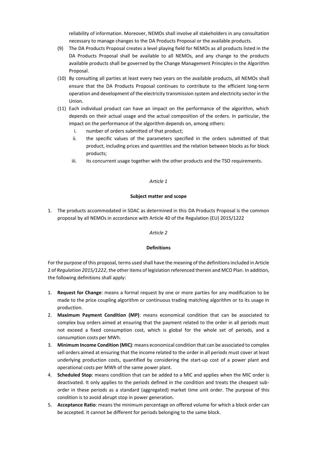reliability of information. Moreover, NEMOs shall involve all stakeholders in any consultation necessary to manage changes to the DA Products Proposal or the available products.

- (9) The DA Products Proposal creates a level playing field for NEMOs as all products listed in the DA Products Proposal shall be available to all NEMOs, and any change to the products available products shall be governed by the Change Management Principles in the Algorithm Proposal.
- (10) By consulting all parties at least every two years on the available products, all NEMOs shall ensure that the DA Products Proposal continues to contribute to the efficient long-term operation and development of the electricity transmission system and electricity sector in the Union.
- (11) Each individual product can have an impact on the performance of the algorithm, which depends on their actual usage and the actual composition of the orders. In particular, the impact on the performance of the algorithm depends on, among others:
	- i. number of orders submitted of that product;
	- ii. the specific values of the parameters specified in the orders submitted of that product, including prices and quantities and the relation between blocks as for block products;
	- iii. its concurrent usage together with the other products and the TSO requirements.

#### *Article 1*

### **Subject matter and scope**

1. The products accommodated in SDAC as determined in this DA Products Proposal is the common proposal by all NEMOs in accordance with Article 40 of the Regulation (EU) 2015/1222

### *Article 2*

## **Definitions**

For the purpose of this proposal, terms used shall have the meaning of the definitions included in Article 2 of *Regulation 2015/1222*, the other items of legislation referenced therein and MCO Plan. In addition, the following definitions shall apply:

- 1. **Request for Change**: means a formal request by one or more parties for any modification to be made to the price coupling algorithm or continuous trading matching algorithm or to its usage in production.
- 2. **Maximum Payment Condition (MP)**: means economical condition that can be associated to complex buy orders aimed at ensuring that the payment related to the order in all periods must not exceed a fixed consumption cost, which is global for the whole set of periods, and a consumption costs per MWh.
- 3. **Minimum Income Condition (MIC)**: means economical condition that can be associated to complex sell orders aimed at ensuring that the income related to the order in all periods must cover at least underlying production costs, quantified by considering the start-up cost of a power plant and operational costs per MWh of the same power plant.
- 4. **Scheduled Stop**: means condition that can be added to a MIC and applies when the MIC order is deactivated. It only applies to the periods defined in the condition and treats the cheapest suborder in these periods as a standard (aggregated) market time unit order. The purpose of this condition is to avoid abrupt stop in power generation.
- 5. **Acceptance Ratio**: means the minimum percentage on offered volume for which a block order can be accepted. It cannot be different for periods belonging to the same block.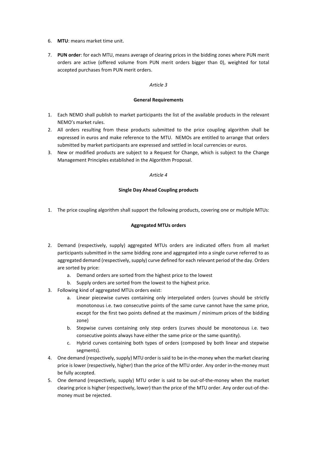- 6. **MTU**: means market time unit.
- 7. **PUN order**: for each MTU, means average of clearing prices in the bidding zones where PUN merit orders are active (offered volume from PUN merit orders bigger than 0), weighted for total accepted purchases from PUN merit orders.

## *Article 3*

## **General Requirements**

- 1. Each NEMO shall publish to market participants the list of the available products in the relevant NEMO's market rules.
- 2. All orders resulting from these products submitted to the price coupling algorithm shall be expressed in euros and make reference to the MTU. NEMOs are entitled to arrange that orders submitted by market participants are expressed and settled in local currencies or euros.
- 3. New or modified products are subject to a Request for Change, which is subject to the Change Management Principles established in the Algorithm Proposal.

## *Article 4*

## **Single Day Ahead Coupling products**

1. The price coupling algorithm shall support the following products, covering one or multiple MTUs:

# **Aggregated MTUs orders**

- 2. Demand (respectively, supply) aggregated MTUs orders are indicated offers from all market participants submitted in the same bidding zone and aggregated into a single curve referred to as aggregated demand (respectively, supply) curve defined for each relevant period of the day. Orders are sorted by price:
	- a. Demand orders are sorted from the highest price to the lowest
	- b. Supply orders are sorted from the lowest to the highest price.
- 3. Following kind of aggregated MTUs orders exist:
	- a. Linear piecewise curves containing only interpolated orders (curves should be strictly monotonous i.e. two consecutive points of the same curve cannot have the same price, except for the first two points defined at the maximum / minimum prices of the bidding zone)
	- b. Stepwise curves containing only step orders (curves should be monotonous i.e. two consecutive points always have either the same price or the same quantity).
	- c. Hybrid curves containing both types of orders (composed by both linear and stepwise segments).
- 4. One demand (respectively, supply) MTU order is said to be in-the-money when the market clearing price is lower (respectively, higher) than the price of the MTU order. Any order in-the-money must be fully accepted.
- 5. One demand (respectively, supply) MTU order is said to be out-of-the-money when the market clearing price is higher (respectively, lower) than the price of the MTU order. Any order out-of-themoney must be rejected.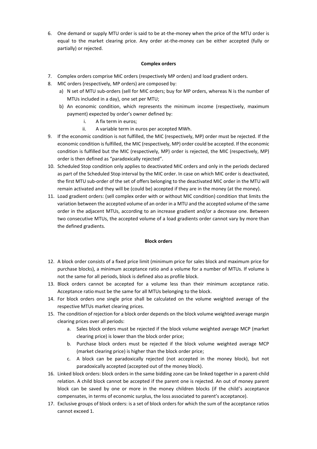6. One demand or supply MTU order is said to be at-the-money when the price of the MTU order is equal to the market clearing price. Any order at-the-money can be either accepted (fully or partially) or rejected.

## **Complex orders**

- 7. Complex orders comprise MIC orders (respectively MP orders) and load gradient orders.
- 8. MIC orders (respectively, MP orders) are composed by:
	- a) N set of MTU sub-orders (sell for MIC orders; buy for MP orders, whereas N is the number of MTUs included in a day), one set per MTU;
	- b) An economic condition, which represents the minimum income (respectively, maximum payment) expected by order's owner defined by:
		- i. A fix term in euros;
		- ii. A variable term in euros per accepted MWh.
- 9. If the economic condition is not fulfilled, the MIC (respectively, MP) order must be rejected. If the economic condition is fulfilled, the MIC (respectively, MP) order could be accepted. If the economic condition is fulfilled but the MIC (respectively, MP) order is rejected, the MIC (respectively, MP) order is then defined as "paradoxically rejected".
- 10. Scheduled Stop condition only applies to deactivated MIC orders and only in the periods declared as part of the Scheduled Stop interval by the MIC order. In case on which MIC order is deactivated, the first MTU sub-order of the set of offers belonging to the deactivated MIC order in the MTU will remain activated and they will be (could be) accepted if they are in the money (at the money).
- 11. Load gradient orders: (sell complex order with or without MIC condition) condition that limits the variation between the accepted volume of an order in a MTU and the accepted volume of the same order in the adjacent MTUs, according to an increase gradient and/or a decrease one. Between two consecutive MTUs, the accepted volume of a load gradients order cannot vary by more than the defined gradients.

### **Block orders**

- 12. A block order consists of a fixed price limit (minimum price for sales block and maximum price for purchase blocks), a minimum acceptance ratio and a volume for a number of MTUs. If volume is not the same for all periods, block is defined also as profile block.
- 13. Block orders cannot be accepted for a volume less than their minimum acceptance ratio. Acceptance ratio must be the same for all MTUs belonging to the block.
- 14. For block orders one single price shall be calculated on the volume weighted average of the respective MTUs market clearing prices.
- 15. The condition of rejection for a block order depends on the block volume weighted average margin clearing prices over all periods:
	- a. Sales block orders must be rejected if the block volume weighted average MCP (market clearing price) is lower than the block order price;
	- b. Purchase block orders must be rejected if the block volume weighted average MCP (market clearing price) is higher than the block order price;
	- c. A block can be paradoxically rejected (not accepted in the money block), but not paradoxically accepted (accepted out of the money block).
- 16. Linked block orders: block orders in the same bidding zone can be linked together in a parent-child relation. A child block cannot be accepted if the parent one is rejected. An out of money parent block can be saved by one or more in the money children blocks (if the child's acceptance compensates, in terms of economic surplus, the loss associated to parent's acceptance).
- 17. Exclusive groups of block orders: is a set of block orders for which the sum of the acceptance ratios cannot exceed 1.